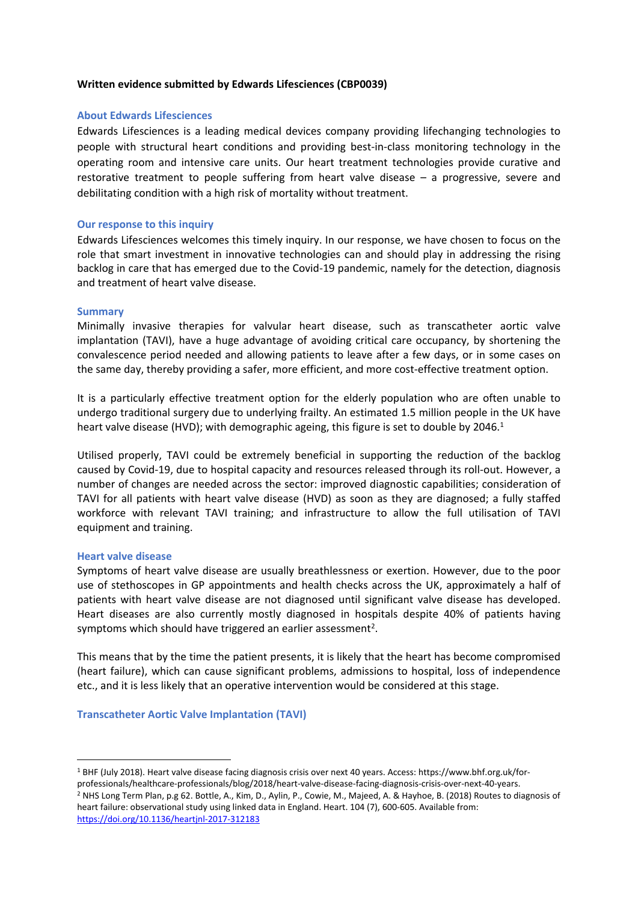## **Written evidence submitted by Edwards Lifesciences (CBP0039)**

## **About Edwards Lifesciences**

Edwards Lifesciences is a leading medical devices company providing lifechanging technologies to people with structural heart conditions and providing best-in-class monitoring technology in the operating room and intensive care units. Our heart treatment technologies provide curative and restorative treatment to people suffering from heart valve disease – a progressive, severe and debilitating condition with a high risk of mortality without treatment.

## **Our response to this inquiry**

Edwards Lifesciences welcomes this timely inquiry. In our response, we have chosen to focus on the role that smart investment in innovative technologies can and should play in addressing the rising backlog in care that has emerged due to the Covid-19 pandemic, namely for the detection, diagnosis and treatment of heart valve disease.

## **Summary**

Minimally invasive therapies for valvular heart disease, such as transcatheter aortic valve implantation (TAVI), have a huge advantage of avoiding critical care occupancy, by shortening the convalescence period needed and allowing patients to leave after a few days, or in some cases on the same day, thereby providing a safer, more efficient, and more cost-effective treatment option.

It is a particularly effective treatment option for the elderly population who are often unable to undergo traditional surgery due to underlying frailty. An estimated 1.5 million people in the UK have heart valve disease (HVD); with demographic ageing, this figure is set to double by 2046.<sup>1</sup>

Utilised properly, TAVI could be extremely beneficial in supporting the reduction of the backlog caused by Covid-19, due to hospital capacity and resources released through its roll-out. However, a number of changes are needed across the sector: improved diagnostic capabilities; consideration of TAVI for all patients with heart valve disease (HVD) as soon as they are diagnosed; a fully staffed workforce with relevant TAVI training; and infrastructure to allow the full utilisation of TAVI equipment and training.

### **Heart valve disease**

Symptoms of heart valve disease are usually breathlessness or exertion. However, due to the poor use of stethoscopes in GP appointments and health checks across the UK, approximately a half of patients with heart valve disease are not diagnosed until significant valve disease has developed. Heart diseases are also currently mostly diagnosed in hospitals despite 40% of patients having symptoms which should have triggered an earlier assessment<sup>2</sup>.

This means that by the time the patient presents, it is likely that the heart has become compromised (heart failure), which can cause significant problems, admissions to hospital, loss of independence etc., and it is less likely that an operative intervention would be considered at this stage.

**Transcatheter Aortic Valve Implantation (TAVI)**

<sup>1</sup> BHF (July 2018). Heart valve disease facing diagnosis crisis over next 40 years. Access: https://www.bhf.org.uk/forprofessionals/healthcare-professionals/blog/2018/heart-valve-disease-facing-diagnosis-crisis-over-next-40-years. <sup>2</sup> NHS Long Term Plan, p.g 62. Bottle, A., Kim, D., Aylin, P., Cowie, M., Majeed, A. & Hayhoe, B. (2018) Routes to diagnosis of heart failure: observational study using linked data in England. Heart. 104 (7), 600-605. Available from: <https://doi.org/10.1136/heartjnl-2017-312183>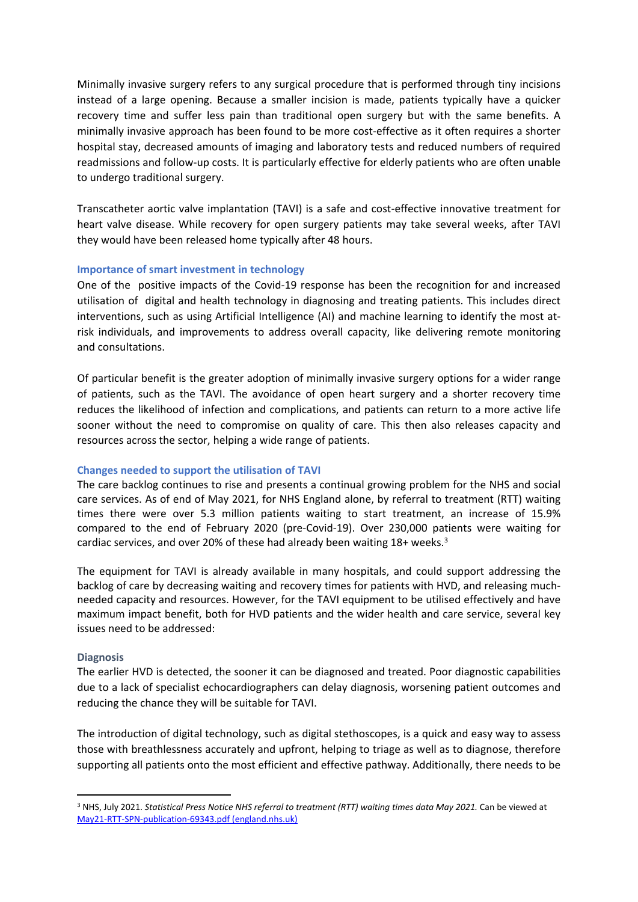Minimally invasive surgery refers to any surgical procedure that is performed through tiny incisions instead of a large opening. Because a smaller incision is made, patients typically have a quicker recovery time and suffer less pain than traditional open surgery but with the same benefits. A minimally invasive approach has been found to be more cost-effective as it often requires a shorter hospital stay, decreased amounts of imaging and laboratory tests and reduced numbers of required readmissions and follow-up costs. It is particularly effective for elderly patients who are often unable to undergo traditional surgery.

Transcatheter aortic valve implantation (TAVI) is a safe and cost-effective innovative treatment for heart valve disease. While recovery for open surgery patients may take several weeks, after TAVI they would have been released home typically after 48 hours.

## **Importance of smart investment in technology**

One of the positive impacts of the Covid-19 response has been the recognition for and increased utilisation of digital and health technology in diagnosing and treating patients. This includes direct interventions, such as using Artificial Intelligence (AI) and machine learning to identify the most atrisk individuals, and improvements to address overall capacity, like delivering remote monitoring and consultations.

Of particular benefit is the greater adoption of minimally invasive surgery options for a wider range of patients, such as the TAVI. The avoidance of open heart surgery and a shorter recovery time reduces the likelihood of infection and complications, and patients can return to a more active life sooner without the need to compromise on quality of care. This then also releases capacity and resources across the sector, helping a wide range of patients.

## **Changes needed to support the utilisation of TAVI**

The care backlog continues to rise and presents a continual growing problem for the NHS and social care services. As of end of May 2021, for NHS England alone, by referral to treatment (RTT) waiting times there were over 5.3 million patients waiting to start treatment, an increase of 15.9% compared to the end of February 2020 (pre-Covid-19). Over 230,000 patients were waiting for cardiac services, and over 20% of these had already been waiting 18+ weeks.<sup>3</sup>

The equipment for TAVI is already available in many hospitals, and could support addressing the backlog of care by decreasing waiting and recovery times for patients with HVD, and releasing muchneeded capacity and resources. However, for the TAVI equipment to be utilised effectively and have maximum impact benefit, both for HVD patients and the wider health and care service, several key issues need to be addressed:

### **Diagnosis**

The earlier HVD is detected, the sooner it can be diagnosed and treated. Poor diagnostic capabilities due to a lack of specialist echocardiographers can delay diagnosis, worsening patient outcomes and reducing the chance they will be suitable for TAVI.

The introduction of digital technology, such as digital stethoscopes, is a quick and easy way to assess those with breathlessness accurately and upfront, helping to triage as well as to diagnose, therefore supporting all patients onto the most efficient and effective pathway. Additionally, there needs to be

<sup>3</sup> NHS, July 2021. *Statistical Press Notice NHS referral to treatment (RTT) waiting times data May 2021.* Can be viewed at [May21-RTT-SPN-publication-69343.pdf](https://www.england.nhs.uk/statistics/wp-content/uploads/sites/2/2021/07/May21-RTT-SPN-publication-69343.pdf) [\(england.nhs.uk\)](https://www.england.nhs.uk/statistics/wp-content/uploads/sites/2/2021/07/May21-RTT-SPN-publication-69343.pdf)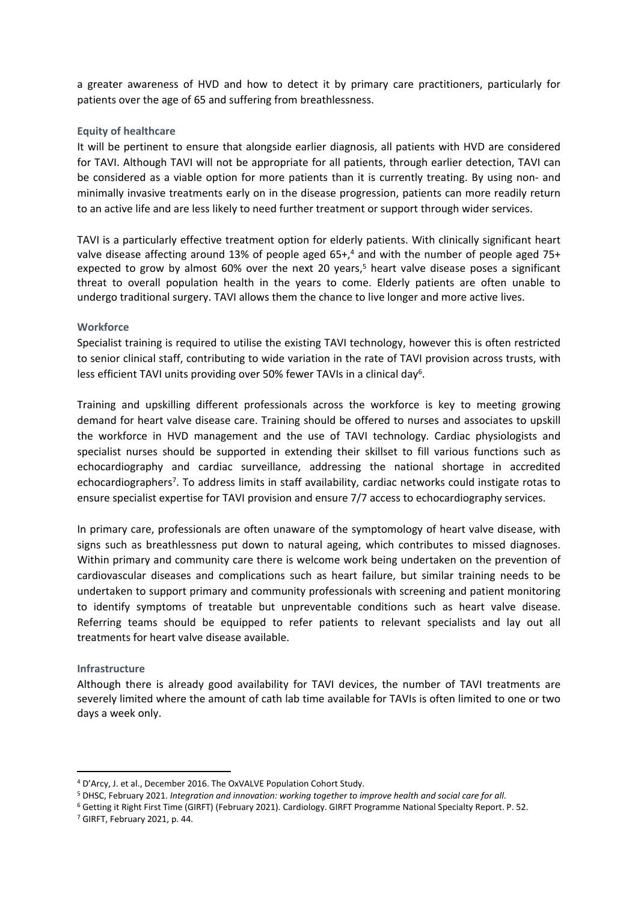a greater awareness of HVD and how to detect it by primary care practitioners, particularly for patients over the age of 65 and suffering from breathlessness.

## **Equity of healthcare**

It will be pertinent to ensure that alongside earlier diagnosis, all patients with HVD are considered for TAVI. Although TAVI will not be appropriate for all patients, through earlier detection, TAVI can be considered as a viable option for more patients than it is currently treating. By using non- and minimally invasive treatments early on in the disease progression, patients can more readily return to an active life and are less likely to need further treatment or support through wider services.

TAVI is a particularly effective treatment option for elderly patients. With clinically significant heart valve disease affecting around 13% of people aged  $65+,4$  and with the number of people aged 75+ expected to grow by almost  $60\%$  over the next 20 years,<sup>5</sup> heart valve disease poses a significant threat to overall population health in the years to come. Elderly patients are often unable to undergo traditional surgery. TAVI allows them the chance to live longer and more active lives.

### **Workforce**

Specialist training is required to utilise the existing TAVI technology, however this is often restricted to senior clinical staff, contributing to wide variation in the rate of TAVI provision across trusts, with less efficient TAVI units providing over 50% fewer TAVIs in a clinical day<sup>6</sup>.

Training and upskilling different professionals across the workforce is key to meeting growing demand for heart valve disease care. Training should be offered to nurses and associates to upskill the workforce in HVD management and the use of TAVI technology. Cardiac physiologists and specialist nurses should be supported in extending their skillset to fill various functions such as echocardiography and cardiac surveillance, addressing the national shortage in accredited echocardiographers<sup>7</sup>. To address limits in staff availability, cardiac networks could instigate rotas to ensure specialist expertise for TAVI provision and ensure 7/7 access to echocardiography services.

In primary care, professionals are often unaware of the symptomology of heart valve disease, with signs such as breathlessness put down to natural ageing, which contributes to missed diagnoses. Within primary and community care there is welcome work being undertaken on the prevention of cardiovascular diseases and complications such as heart failure, but similar training needs to be undertaken to support primary and community professionals with screening and patient monitoring to identify symptoms of treatable but unpreventable conditions such as heart valve disease. Referring teams should be equipped to refer patients to relevant specialists and lay out all treatments for heart valve disease available.

### **Infrastructure**

Although there is already good availability for TAVI devices, the number of TAVI treatments are severely limited where the amount of cath lab time available for TAVIs is often limited to one or two days a week only.

<sup>4</sup> D'Arcy, J. et al., December 2016. The OxVALVE Population Cohort Study.

<sup>5</sup> DHSC, February 2021. *Integration and innovation: working together to improve health and social care for all*.

<sup>6</sup> Getting it Right First Time (GIRFT) (February 2021). Cardiology. GIRFT Programme National Specialty Report. P. 52.

<sup>7</sup> GIRFT, February 2021, p. 44.